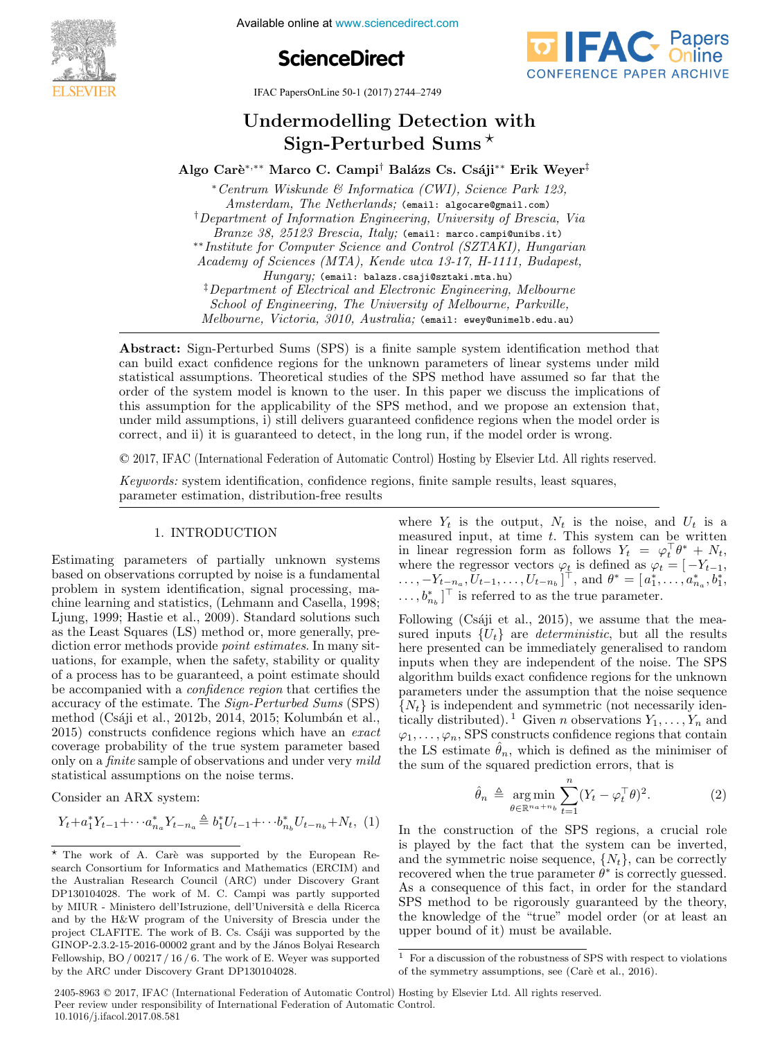**The International Federation of Available online at www.sciencedirect.com** 





IFAC PapersOnLine 50-1 (2017) 2744-2749

#### Undermodelling Detection with ermodelling Detection Undermodelling Detection with Algu-1 errunned Omine ermodening Detection<br>Sign-Perturbed Sums\*

Algo Carè\*,\*\* Marco C. Campi<sup>†</sup> Balázs Cs. Csáji\*\* Erik Weyer<sup>‡</sup>

∗Centrum Wiskunde & Informatica (CWI), Science Park 123, ∗Centrum Wiskunde & Informatica (CWI), Science Park 123, Amsterdam, The Netherlands; (email: algocare@gmail.com) <sup>†</sup>Department of Information Engineering, University of Brescia, Via Branze 38, 25123 Brescia, Italy; (email: marco.campi@unibs.it) ∗∗Institute for Computer Science and Control (SZTAKI), Hungarian Branze 38, 25123 Brescia, Italy; (email: marco.campi@unibs.it) Academy of Sciences (MTA), Kende utca 13-17, H-1111, Budapest, Academy of Sciences (MTA), Kende utca 13-17, H-1111, Budapest,  $Hung$  of  $U(1, 1, 1)$ , hende and  $15$ -11,  $H$ -1111,  $D$ adapest,<br> $Hung$  (email: balazz.csaji@sztaki.mta.hu) ‡Department of Electrical and Electronic Engineering, Melbourne Hungary; (email: balazs.csaji@sztaki.mta.hu) ‡Department of Electrical and Electronic Engineering, Melbourne Hungary; (email: balazs.csaji@sztaki.mta.hu) Before them by Electrical and Electronic Engineering, Melodarne School of Engineering, The University of Melbourne, Parkville, School of Engineering, The University of Melbourne, Turkollie,<br>Melbourne, Victoria, 3010, Australia; (email: ewey@unimelb.edu.au)  $\mu_{\text{nonlinear}}$  Institute for Computer Science and Control (SZTAKI), Hungarian ∗∗Institute for Computer Science and Control (SZTAKI), Hungarian Branze 38, 25123 Brescia, Italy; (email: marco.campi@unibs.it) †Department of Information Engineering, University of Brescia, Via Academy of Sciences (MTA), Kende utca 13-17, H-1111, Budapest, ∗∗Institute for Computer Science and Control (SZTAKI), Hungarian school of Engineering, The University of Metoburne, Turkville,<br>Melbourne, Victoria, 3010, Australia: (email: ewey@unimelb.edu.au) Branze 38, 25123 Brescia, Italy; (email: marco.campi@unibs.it)

can build exact confidence regions for the unknown parameters of linear systems under mild early build exact connectice regions for the unknown parameters of linear systems under linear<br>statistical assumptions. Theoretical studies of the SPS method have assumed so far that the order of the system model is known to the user. In this paper we discuss the implications of order of the system model is known to the user. In this paper we discuss the impirications on this assumption for the applicability of the SPS method, and we propose an extension that, under mild assumptions, i) still delivers guaranteed confidence regions when the model order is under mind assumptions, i) still derivers guaranteed confidence regions when the model order is correct, and ii) it is guaranteed to detect, in the long run, if the model order is wrong. Abstract: Sign-Perturbed Sums (SPS) is a finite sample system identification method that

Melbourne, Victoria, 3010, Australia; (email: ewey@unimelb.edu.au)

 $R_{\text{Edd}}$  ,  $R_{\text{Edd}}$  ,  $R_{\text{Edd}}$  ,  $S_{\text{Udd}}$  and  $R_{\text{Edd}}$  and  $R_{\text{Edd}}$  remains every commension equivalent

Melbourne, Victoria, 3010, Australia; (email: ewey@unimelb.edu.au)

© 2017, IFAC (International Federation of Automatic Control) Hosting by Elsevier Ltd. All rights reserved. correct, and ii) it is guaranteed to detect, in the long run, if the model order is wrong.  $\mathcal{L}$  system is supported in the system in the statement regions,  $\mathcal{L}$  and  $\mathcal{L}$  and  $\mathcal{L}$  such squares,  $\mathcal{L}$  $\odot$  2017, IFAC (International Ecderation of Automatic Control) Heeting by Flequier Itd. All rights regerved.  $\heartsuit$  2017, IFAC (International Federation of Automatic Control) Hosting by Elsevier Ltd. All rights

Keywords: system identification, confidence regions, finite sample results, least squares, parameter estimation, distribution-free results

### 1. INTRODUCTION 1. INTRODUCTION 1. INTRODUCTION

parameter estimation, distribution-free results

Estimating parameters of partially unknown systems based on observations corrupted by noise is a fundamental Estimating parameters of partially unknown systems based on observations corrupted by noise is a fundamental Estimating parameters of partially unknown systems based on observations corrupted by noise is a fundamental<br>problem in system identification, signal processing, maproblem in system identification, signal processing, ina-<br>chine learning and statistics, (Lehmann and Casella, 1998; chine rearning and statistics, (Lemnann and Casena, 1990,<br>Ljung, 1999; Hastie et al., 2009). Standard solutions such Ljung, 1999, Hastle et al., 2009). Standard solutions such<br>as the Least Squares (LS) method or, more generally, preas the Least Squares (LS) method of, more generally, prediction error methods provide *point estimates*. In many sitdiction error methods provide *point estimates*. In many situations, for example, when the safety, stability or quality dations, for example, when the safety, stability of quality<br>of a process has to be guaranteed, a point estimate should or a process has to be guaranteed, a point estimate should<br>be accompanied with a *confidence region* that certifies the be accompanied with a *confuence region* that certifies the<br>accuracy of the estimate. The *Sign-Perturbed Sums* (SPS) accuracy of the estimate. The *Sign-Perturbed Sums* (SPS)<br>method (Csáji et al., 2012b, 2014, 2015; Kolumbán et al.,  $2015$ ) constructs confidence regions which have an *exact* coverage probability of the true system parameter based coverage probability of the true system parameter based<br>only on a *finite* sample of observations and under very *mild* statistical assumptions on the noise terms. statistical assumptions on the noise terms.  $m$ ethod (Csaji et al., 2012b, 2014, 2015, Kolumban et al.,  $2015$ ) constructs confidence regions which here an exect only on a *futule* sample of observations and under very *midd* accuracy of the estimate. The *sign-1 erraried sums* (SFS)<br>method (Csáii et al., 2012b, 2014, 2015; Kolumbán et al., coverage probability of the true system parameter based<br>only on a *finite* sample of observations and under very *mild* only on a *finite* sample of observations and under very *mind* statistical assumptions on the noise terms.  $\begin{tabular}{l|c|c|c|c} \multicolumn{1}{l}{\textbf{L}}&\textbf{Figure T-CT} & \multicolumn{1}{l}{\textbf{C}}&\textbf{C} & \multicolumn{1}{l}{\textbf{C}}&\textbf{C} & \multicolumn{1}{l}{\textbf{C}}&\textbf{C} & \multicolumn{1}{l}{\textbf{C}}&\textbf{C} & \multicolumn{1}{l}{\textbf{C}}&\textbf{C} & \multicolumn{1}{l}{\textbf{C}}&\textbf{C} & \multicolumn{1}{l}{\textbf{C}}&\textbf{C} & \multicolumn{1}{l}{\textbf{C}}&\$ and the Least Spring of the Least Studies. The Hall Studies of the Superior or, more generally, pre- $\frac{1}{2015}$  constructs confidence regions which have an exact omy on a *june* sample of observations and under very *mud* 

Consider an ARX system: Consider an ARX system: Consider an ARX system: statistical assumptions on the noise terms. Consider an ARX system:

$$
Y_t + a_1^* Y_{t-1} + \cdots + a_{n_a}^* Y_{t-n_a} \stackrel{\Delta}{=} b_1^* U_{t-1} + \cdots + b_{n_b}^* U_{t-n_b} + N_t, \ (1)
$$

**Copyright © 2017 IFAC 2799**

where  $Y_t$  is the output,  $N_t$  is the noise, and  $U_t$  is a where  $Y_t$  is the output,  $N_t$  is the noise, and  $U_t$  is a<br>measured input, at time t. This system can be written in linear regression form as follows  $Y_t = \varphi_t^T \theta^* + N_t$ , where the regressor vectors  $\varphi_t$  is defined as  $\varphi_t = \begin{bmatrix} -Y_{t-1}, \\ 1, \end{bmatrix}$  $\dots, -Y_{t-n_a}, U_{t-1}, \dots, U_{t-n_b}$ , and  $\theta^* = [a_1^*, \dots, a_{n_a}^*, b_1^*,$  $\dots, b_{n_b}^*$  ] is referred to as the true parameter. in linear regression form as follows  $I_t = \varphi_t v + N_t$ ,<br>where the regressor vectors  $\varphi_t$  is defined as  $\varphi_t = [-Y_{t-1}]$ where the regressor vectors  $\varphi_t$  is defined as  $\varphi_t = \begin{bmatrix} t_{t-1}, \\ t_{t-1}, \end{bmatrix}$  $\cdots$ ,  $\begin{bmatrix} -i t_{-n_a}, v_{t-1}, \dots, v_{t-n_b} \end{bmatrix}$ , and  $v = [u_1, \dots, u_{n_a}, v_1,$ <br>  $b^*$   $\begin{bmatrix} \vdots \\ \vdots \end{bmatrix}$  is referred to as the true parameter  $\dots, o_{n_b}$  ] is referred to as the true parameter. where the regressor vectors  $\varphi_t$  is defined as  $\varphi_t = [-Y_{t-1},$ ...,  $-Y_{t-n}$ ,  $U_{t-1}$ , ...,  $U_{t-n}$ ,  $\vert^{\top}$ , and  $\theta^* = [ a_1^*, \ldots, a_n^*, b_1^*,$  $\ldots b^*$   $\begin{bmatrix} \bar{b} & \bar{c} & \bar{d} \\ \bar{c} & \bar{d} & \bar{c} \end{bmatrix}$  is referred to as the true parameter. where the regressor vectors  $\varphi_t$  is defined as  $\varphi_t = \begin{bmatrix} -Y_{t-1} \end{bmatrix}$  $\ldots, -Y_{t-n_a}, \widetilde{U}_{t-1}, \ldots, U_{t-n_b} \mid \mathbf{v}$ , and  $\theta^* = [a_1^*, \ldots, a_{n_a}^*, b_1^*,$  $\ldots, b_{n}^{*}$ . <sup>T</sup> is referred to as the true parameter. ...,b<sup>∗</sup> <sup>n</sup><sup>b</sup> ] is referred to as the true parameter. m mear regression form as follows  $I_t = \varphi_t v + N_t$ , where the regressor vectors  $\varphi_t$  is defined as  $\varphi_t = [-t_{t-1}, \ldots, -Y_{t-n_a}, U_{t-1}, \ldots, U_{t-n_b}]^\top$ , and  $\theta^* = [a_1^*, \ldots, a_{n_a}^*, b_1^*, \ldots, b_{n_b}^*]^\top$  is referred to as the true parameter.

Following (Csáji et al., 2015), we assume that the mea-Following (Csaft et al., 2019), we assume that the mea-<br>sured inputs  $\{U_t\}$  are *deterministic*, but all the results sured inputs  $\{U_t\}$  are *uterministic*, but an the results<br>here presented can be immediately generalised to random inputs when they are independent of the noise. The SPS algorithm builds exact confidence regions for the unknown algorithm bunds exact connuence regions for the unknown<br>parameters under the assumption that the noise sequence  ${N_t}$  is independent and symmetric (not necessarily iden- $\chi_{N}$  is independent and symmetric (not necessarily identically distributed).<sup>1</sup> Given *n* observations  $Y_1, \ldots, Y_n$  and  $\varphi_1, \ldots, \varphi_n$ , SPS constructs confidence regions that contain the LS estimate  $\hat{\theta}_n$ , which is defined as the minimiser of the sum of the squared prodiction errors that is the sum of the squared prediction errors, that is tically distributed). Tolven n observations  $Y_1, \ldots, Y_n$  and  $\{N_t\}$  is independent and symmetric (not necessarily identically distributed).<sup>1</sup> Given *n* observations  $Y_1, \ldots, Y_n$  and  $\varphi_1, \ldots, \varphi_n$ , SPS constructs confidence regions that contain  $\varphi_1, \ldots, \varphi_n,$  SPS constructs confidence regions that contain<br>the LS estimate  $\hat{\theta}_n$ , which is defined as the minimiser of the sum of the squared prediction errors, that is  $\frac{1}{n}$  is defined as the minimiser of the sum of the squared prediction errors, that is  $\frac{n}{2}$  $\left(N\right)$  is independent and arrangement (not personally identified  $\varphi_1, \ldots, \varphi_n$ , SPS constructs connuence regions that contain

$$
\hat{\theta}_n \triangleq \underset{\theta \in \mathbb{R}^{n_a + n_b}}{\arg \min} \sum_{t=1}^n (Y_t - \varphi_t^\top \theta)^2. \tag{2}
$$

In the construction of the SPS regions, a crucial role is played by the fact that the system can be inverted, In the construction of the SPS regions, a crucial role is played by the fact that the system can be inverted, In the construction of the SPS regions, a crucial role and the symmetric noise sequence,  $\{N_t\}$ , can be correctly and the symmetric holds sequence,  $\{N_t\}$ , can be correctly<br>recovered when the true parameter  $\theta^*$  is correctly guessed. recovered when the true parameter  $\theta$  is correctly guessed.<br>As a consequence of this fact, in order for the standard As a consequence of this fact, in order for the standard<br>SPS method to be rigorously guaranteed by the theory, SIS method to be rigorously guaranteed by the theory,<br>the knowledge of the "true" model order (or at least an upper bound of it) must be available. upper bound of it) must be available. the knowledge of the "true" model order (or at least an SIS method to be rigorously guaranteed by the theory,<br>the knowledge of the "true" model order (or at least an the knowledge of the "true" model order (or at least an upper bound of it) must be available.  $\frac{1}{\sqrt{2}}$  must be available. and the symmetric holds sequence,  $\{N_t\}$ , can be correctly  $\frac{1}{2}$  and  $\frac{1}{2}$  method to be right.

2405-8963  $\odot$  2017, IFAC (International Federation of Automatic Control) Hosting by Elsevier Ltd. All rights reserved. Peer review under responsibility of International Federation of Automatic Control.<br>
10.1016/: ifacel 2017.08.581 10.1016/j.ifacol.2017.08.581 of the symmetry assumptions, see (Carte et al., 2016). See (Carte et al., 2016).

 $\star$  The work of A. Carè was supported by the European Research Consortium for Informatics and Mathematics (ERCIM) and search Consortium for Informatics and Mathematics (ERCIM) and The work of A. Car`e was supported by the European Research Consortium for Informatics and Mathematics (ERCIM) and<br>the Australian Research Council (ARC) under Discovery Grant DP130104028. The work of M. C. Campi was partly supported by MIUR - Ministero dell'Istruzione, dell'Università e della Ricerca<br>and by the History of Philotophe (dell'Università e della Ricerca) and by the H&W program of the University of Brescia under the<br>project CLAFITE. The work of B. Cs. Csáji was supported by the<br>CIMOD 2.2.1.5. 2016, 0016 Not be also that has supported by the project CLAFITE. The work of B. Cs. Csáji was supported by the GINOP-2.3.2-15-2016-00002 grant and by the János Bolyai Research Fellowship, BO / 00217 / 16 / 6 / The work of E. Weyer was supported<br>Fellowship, BO / 00217 / 16 / 6. The work of E. Weyer was supported by the ARC under Discovery Grant DP130104028. Fellowship, BO / 00217 / 20 / 0. The work of BP130104028.  $\overline{\star}$  The work of  $\Lambda$ , Car`e was supported by the European Re- $F_{\rm g}$ , and the contract of Extension of E. Weyer was supported to E. Weyer was supported to E. Weyer was supported to  $F_{\rm g}$ 

<sup>&</sup>lt;sup>1</sup> For a discussion of the robustness of SPS with respect to violations of the cummetry examining assessed  $(C_{\text{sub}})$  at al. 2016) of the symmetry assumptions, see (Carè et al., 2016).  $\frac{1}{1-\text{Eqs}}$  discussion of the robustness of SPS with respect to violations 1 For a discussion of the robustness of  $S$ PS with respect to violations of the symmetry assumptions, see (Care et al., 2016).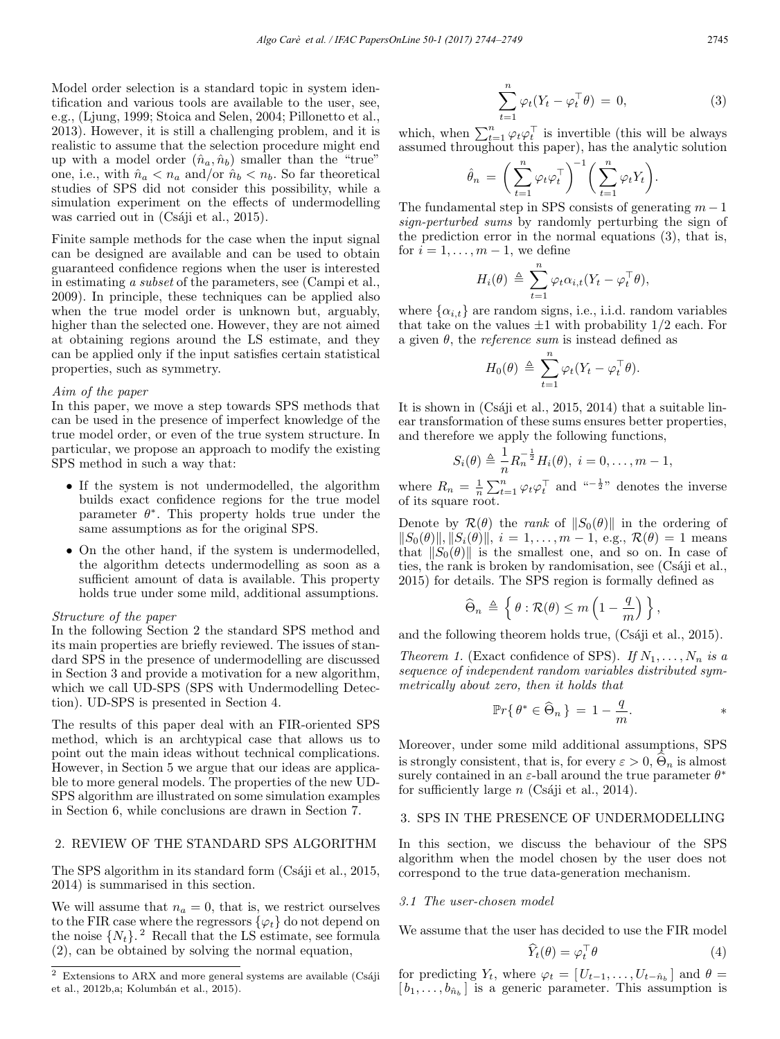Model order selection is a standard topic in system identification and various tools are available to the user, see, e.g., (Ljung, 1999; Stoica and Selen, 2004; Pillonetto et al., 2013). However, it is still a challenging problem, and it is realistic to assume that the selection procedure might end up with a model order  $(\hat{n}_a, \hat{n}_b)$  smaller than the "true" one, i.e., with  $\hat{n}_a < n_a$  and/or  $\hat{n}_b < n_b$ . So far theoretical studies of SPS did not consider this possibility, while a simulation experiment on the effects of undermodelling was carried out in  $(Csáji et al., 2015)$ .

Finite sample methods for the case when the input signal can be designed are available and can be used to obtain guaranteed confidence regions when the user is interested in estimating a subset of the parameters, see (Campi et al., 2009). In principle, these techniques can be applied also when the true model order is unknown but, arguably, higher than the selected one. However, they are not aimed at obtaining regions around the LS estimate, and they can be applied only if the input satisfies certain statistical properties, such as symmetry.

# Aim of the paper

In this paper, we move a step towards SPS methods that can be used in the presence of imperfect knowledge of the true model order, or even of the true system structure. In particular, we propose an approach to modify the existing SPS method in such a way that:

- If the system is not undermodelled, the algorithm builds exact confidence regions for the true model parameter  $\theta^*$ . This property holds true under the same assumptions as for the original SPS.
- On the other hand, if the system is undermodelled, the algorithm detects undermodelling as soon as a sufficient amount of data is available. This property holds true under some mild, additional assumptions.

#### Structure of the paper

In the following Section 2 the standard SPS method and its main properties are briefly reviewed. The issues of standard SPS in the presence of undermodelling are discussed in Section 3 and provide a motivation for a new algorithm, which we call UD-SPS (SPS with Undermodelling Detection). UD-SPS is presented in Section 4.

The results of this paper deal with an FIR-oriented SPS method, which is an archtypical case that allows us to point out the main ideas without technical complications. However, in Section 5 we argue that our ideas are applicable to more general models. The properties of the new UD-SPS algorithm are illustrated on some simulation examples in Section 6, while conclusions are drawn in Section 7.

# 2. REVIEW OF THE STANDARD SPS ALGORITHM

The SPS algorithm in its standard form  $(Csáji et al., 2015, ...)$ 2014) is summarised in this section.

We will assume that  $n_a = 0$ , that is, we restrict ourselves to the FIR case where the regressors  $\{\varphi_t\}$  do not depend on the noise  $\{N_t\}$ . <sup>2</sup> Recall that the LS estimate, see formula (2), can be obtained by solving the normal equation,

$$
\sum_{t=1}^{n} \varphi_t (Y_t - \varphi_t^{\top} \theta) = 0, \qquad (3)
$$

which, when  $\sum_{t=1}^{n} \varphi_t \varphi_t^{\top}$  is invertible (this will be always assumed throughout this paper), has the analytic solution

$$
\hat{\theta}_n = \bigg(\sum_{t=1}^n \varphi_t \varphi_t^\top\bigg)^{-1} \bigg(\sum_{t=1}^n \varphi_t Y_t\bigg).
$$

The fundamental step in SPS consists of generating  $m-1$ sign-perturbed sums by randomly perturbing the sign of the prediction error in the normal equations (3), that is, for  $i = 1, \ldots, m - 1$ , we define

$$
H_i(\theta) \triangleq \sum_{t=1}^n \varphi_t \alpha_{i,t} (Y_t - \varphi_t^\top \theta),
$$

where  $\{\alpha_{i,t}\}\$ are random signs, i.e., i.i.d. random variables that take on the values  $\pm 1$  with probability  $1/2$  each. For a given  $\theta$ , the *reference sum* is instead defined as

$$
H_0(\theta) \triangleq \sum_{t=1}^n \varphi_t (Y_t - \varphi_t^\top \theta).
$$

It is shown in  $(Csáji et al., 2015, 2014)$  that a suitable linear transformation of these sums ensures better properties, and therefore we apply the following functions,

$$
S_i(\theta) \triangleq \frac{1}{n} R_n^{-\frac{1}{2}} H_i(\theta), i = 0, ..., m - 1,
$$

where  $R_n = \frac{1}{n} \sum_{t=1}^n \varphi_t \varphi_t^\top$  and  $\zeta_n = \frac{1}{2}$  denotes the inverse of its square root.

Denote by  $\mathcal{R}(\theta)$  the rank of  $||S_0(\theta)||$  in the ordering of  $||S_0(\theta)||, ||S_i(\theta)||, i = 1, \ldots, m-1, e.g., \mathcal{R}(\theta) = 1$  means that  $||S_0(\theta)||$  is the smallest one, and so on. In case of ties, the rank is broken by randomisation, see (Csáji et al., 2015) for details. The SPS region is formally defined as

$$
\widehat{\Theta}_n \triangleq \left\{ \theta : \mathcal{R}(\theta) \le m \left(1 - \frac{q}{m}\right) \right\},\
$$

and the following theorem holds true,  $(Csáji et al., 2015)$ .

Theorem 1. (Exact confidence of SPS). If  $N_1, \ldots, N_n$  is a sequence of independent random variables distributed symmetrically about zero, then it holds that

$$
\mathbb{P}r\{\theta^* \in \widehat{\Theta}_n\} = 1 - \frac{q}{m}.
$$

Moreover, under some mild additional assumptions, SPS is strongly consistent, that is, for every  $\varepsilon > 0$ ,  $\widehat{\Theta}_n$  is almost surely contained in an  $\varepsilon$ -ball around the true parameter  $\theta^*$ for sufficiently large  $n$  (Csáji et al., 2014).

### 3. SPS IN THE PRESENCE OF UNDERMODELLING

In this section, we discuss the behaviour of the SPS algorithm when the model chosen by the user does not correspond to the true data-generation mechanism.

#### 3.1 The user-chosen model

We assume that the user has decided to use the FIR model

$$
\hat{Y}_t(\theta) = \varphi_t^\top \theta \tag{4}
$$

for predicting  $Y_t$ , where  $\varphi_t = [U_{t-1}, \ldots, U_{t-n_b}]$  and  $\theta =$  $[b_1,\ldots,b_{\hat{n}_b}]$  is a generic parameter. This assumption is

 $2$  Extensions to ARX and more general systems are available (Csáji et al., 2012b, a; Kolumbán et al., 2015).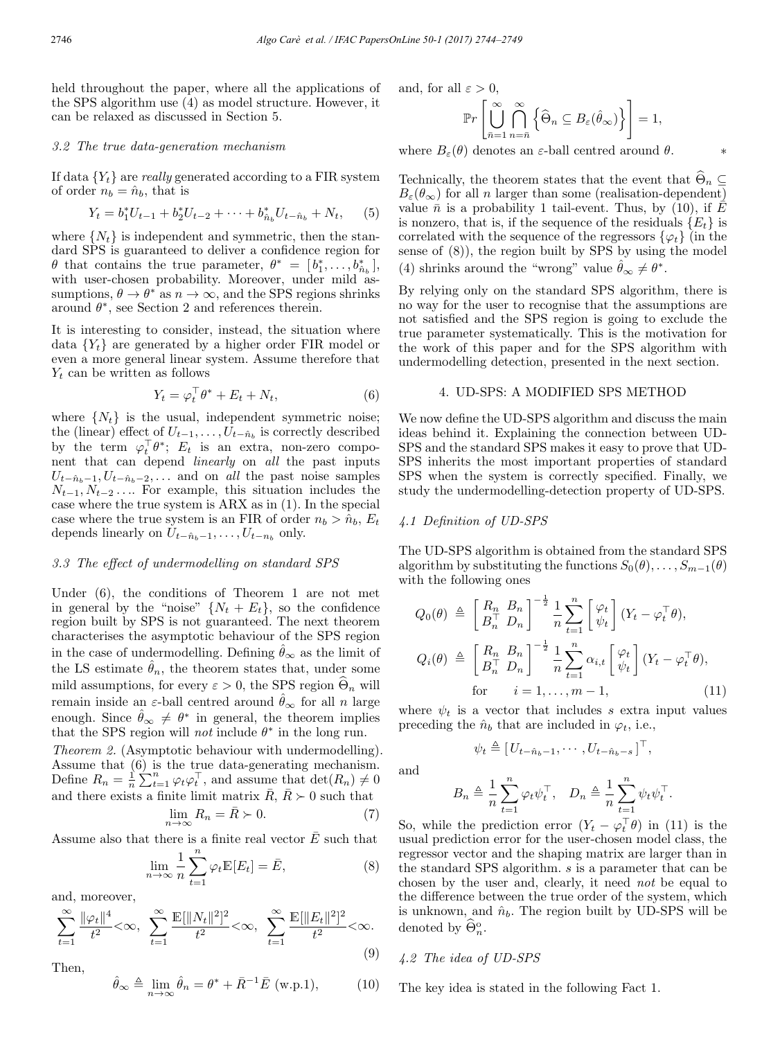held throughout the paper, where all the applications of the SPS algorithm use (4) as model structure. However, it can be relaxed as discussed in Section 5.

#### 3.2 The true data-generation mechanism

If data  ${Y_t}$  are really generated according to a FIR system of order  $n_b = \hat{n}_b$ , that is

$$
Y_t = b_1^* U_{t-1} + b_2^* U_{t-2} + \dots + b_{\hat{n}_b}^* U_{t-\hat{n}_b} + N_t, \quad (5)
$$

where  $\{N_t\}$  is independent and symmetric, then the standard SPS is guaranteed to deliver a confidence region for  $\theta$  that contains the true parameter,  $\theta^* = [b_1^*, \ldots, b_{\hat{n}_b}^*],$ with user-chosen probability. Moreover, under mild assumptions,  $\theta \to \theta^*$  as  $n \to \infty$ , and the SPS regions shrinks around  $\theta^*$ , see Section 2 and references therein.

It is interesting to consider, instead, the situation where data  ${Y_t}$  are generated by a higher order FIR model or even a more general linear system. Assume therefore that  $Y_t$  can be written as follows

$$
Y_t = \varphi_t^\top \theta^* + E_t + N_t,\tag{6}
$$

where  $\{N_t\}$  is the usual, independent symmetric noise; the (linear) effect of  $U_{t-1},\ldots,U_{t-\hat{n}_b}$  is correctly described by the term  $\varphi_t^{\perp} \theta^*$ ;  $E_t$  is an extra, non-zero component that can depend linearly on all the past inputs  $U_{t-n_b-1}, U_{t-n_b-2}, \ldots$  and on all the past noise samples  $N_{t-1}, N_{t-2}, \ldots$  For example, this situation includes the case where the true system is ARX as in (1). In the special case where the true system is an FIR of order  $n_b > \hat{n}_b$ ,  $E_t$ depends linearly on  $U_{t-n_b-1},\ldots,U_{t-n_b}$  only.

#### 3.3 The effect of undermodelling on standard SPS

Under (6), the conditions of Theorem 1 are not met in general by the "noise"  $\{N_t + E_t\}$ , so the confidence region built by SPS is not guaranteed. The next theorem characterises the asymptotic behaviour of the SPS region in the case of undermodelling. Defining  $\hat{\theta}_{\infty}$  as the limit of the LS estimate  $\hat{\theta}_n$ , the theorem states that, under some mild assumptions, for every  $\varepsilon > 0$ , the SPS region  $\Theta_n$  will remain inside an ε-ball centred around  $θ_{\infty}$  for all n large enough. Since  $\hat{\theta}_{\infty} \neq \theta^*$  in general, the theorem implies that the SPS region will *not* include  $\theta^*$  in the long run.

Theorem 2. (Asymptotic behaviour with undermodelling). Assume that (6) is the true data-generating mechanism. Define  $R_n = \frac{1}{n} \sum_{t=1}^n \varphi_t \varphi_t^\top$ , and assume that  $\det(R_n) \neq 0$ and there exists a finite limit matrix  $\bar{R}$ ,  $\bar{R} \succ 0$  such that

$$
\lim_{n \to \infty} R_n = \bar{R} \succ 0. \tag{7}
$$

Assume also that there is a finite real vector  $\bar{E}$  such that

$$
\lim_{n \to \infty} \frac{1}{n} \sum_{t=1}^{n} \varphi_t \mathbb{E}[E_t] = \bar{E},
$$
\n(8)

and, moreover,

$$
\sum_{t=1}^{\infty} \frac{\|\varphi_t\|^4}{t^2} < \infty, \quad \sum_{t=1}^{\infty} \frac{\mathbb{E}[\|N_t\|^2]^2}{t^2} < \infty, \quad \sum_{t=1}^{\infty} \frac{\mathbb{E}[\|E_t\|^2]^2}{t^2} < \infty. \tag{9}
$$

Then,  

$$
\hat{\theta}_{\infty} \triangleq \lim_{n \to \infty} \hat{\theta}_n = \theta^* + \bar{R}^{-1} \bar{E} \text{ (w.p.1)}, \quad (10)
$$

and, for all  $\varepsilon > 0$ ,

$$
\mathbb{P}r\left[\bigcup_{\bar{n}=1}^{\infty}\bigcap_{n=\bar{n}}^{\infty}\left\{\widehat{\Theta}_{n}\subseteq B_{\varepsilon}(\widehat{\theta}_{\infty})\right\}\right]=1,
$$

where  $B_{\varepsilon}(\theta)$  denotes an  $\varepsilon$ -ball centred around  $\theta$ .

Technically, the theorem states that the event that  $\Theta_n \subseteq$  $B_\varepsilon(\theta_\infty)$  for all n larger than some (realisation-dependent) value  $\bar{n}$  is a probability 1 tail-event. Thus, by (10), if  $\bar{E}$ is nonzero, that is, if the sequence of the residuals  $\{E_t\}$  is correlated with the sequence of the regressors  $\{\varphi_t\}$  (in the sense of (8)), the region built by SPS by using the model (4) shrinks around the "wrong" value  $\ddot{\theta}_{\infty} \neq \theta^*$ .

By relying only on the standard SPS algorithm, there is no way for the user to recognise that the assumptions are not satisfied and the SPS region is going to exclude the true parameter systematically. This is the motivation for the work of this paper and for the SPS algorithm with undermodelling detection, presented in the next section.

### 4. UD-SPS: A MODIFIED SPS METHOD

We now define the UD-SPS algorithm and discuss the main ideas behind it. Explaining the connection between UD-SPS and the standard SPS makes it easy to prove that UD-SPS inherits the most important properties of standard SPS when the system is correctly specified. Finally, we study the undermodelling-detection property of UD-SPS.

### 4.1 Definition of UD-SPS

The UD-SPS algorithm is obtained from the standard SPS algorithm by substituting the functions  $S_0(\theta),\ldots,S_{m-1}(\theta)$ with the following ones

$$
Q_0(\theta) \triangleq \begin{bmatrix} R_n & B_n \\ B_n^\top & D_n \end{bmatrix}^{-\frac{1}{2}} \frac{1}{n} \sum_{t=1}^n \begin{bmatrix} \varphi_t \\ \psi_t \end{bmatrix} (Y_t - \varphi_t^\top \theta),
$$
\n
$$
Q_i(\theta) \triangleq \begin{bmatrix} R_n & B_n \\ B_n^\top & D_n \end{bmatrix}^{-\frac{1}{2}} \frac{1}{n} \sum_{t=1}^n \alpha_{i,t} \begin{bmatrix} \varphi_t \\ \psi_t \end{bmatrix} (Y_t - \varphi_t^\top \theta),
$$
\n
$$
\text{for} \quad i = 1, \dots, m-1,
$$
\n
$$
(11)
$$

where  $\psi_t$  is a vector that includes s extra input values preceding the  $\hat{n}_b$  that are included in  $\varphi_t$ , i.e.,

 $\psi_t \triangleq [U_{t-n_b-1}, \cdots, U_{t-n_b-s}]^{\top},$ 

and

$$
B_n \triangleq \frac{1}{n} \sum_{t=1}^n \varphi_t \psi_t^\top, \quad D_n \triangleq \frac{1}{n} \sum_{t=1}^n \psi_t \psi_t^\top.
$$

So, while the prediction error  $(Y_t - \varphi_t^{\dagger} \theta)$  in (11) is the usual prediction error for the user-chosen model class, the regressor vector and the shaping matrix are larger than in the standard SPS algorithm. s is a parameter that can be chosen by the user and, clearly, it need not be equal to the difference between the true order of the system, which is unknown, and  $\hat{n}_b$ . The region built by UD-SPS will be denoted by  $\widehat{\Theta}_n^{\mathrm{o}}$ .

# 4.2 The idea of UD-SPS

The key idea is stated in the following Fact 1.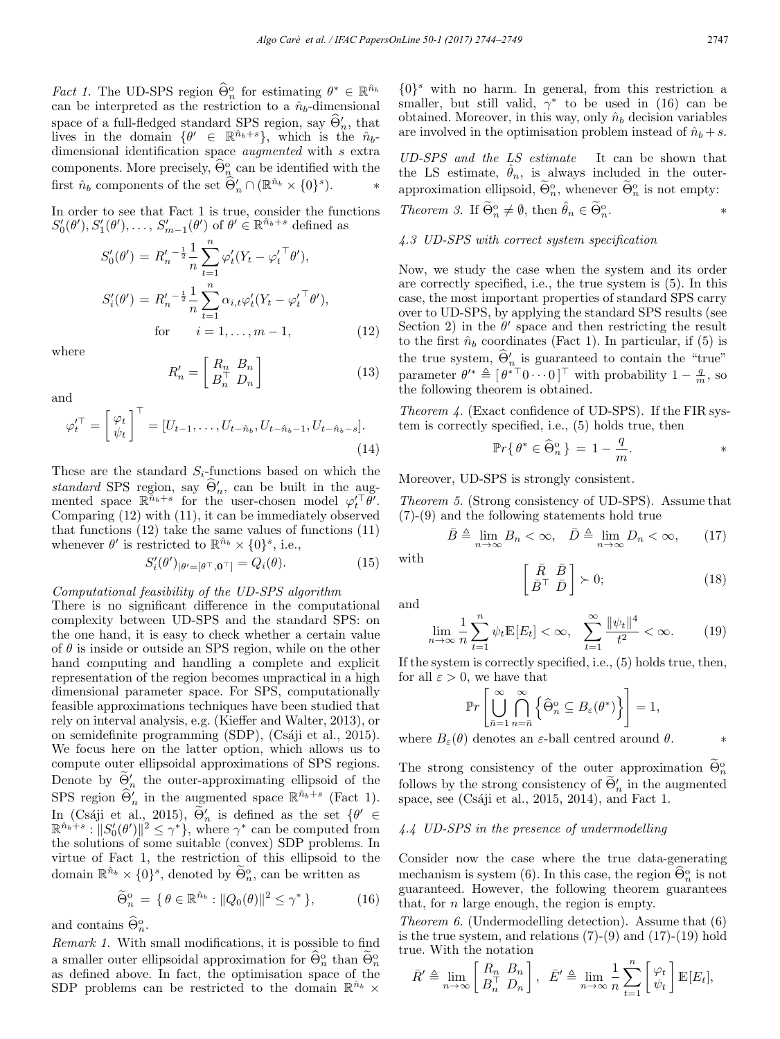Fact 1. The UD-SPS region  $\Theta_n^{\circ}$  for estimating  $\theta^* \in \mathbb{R}^{n_b}$ can be interpreted as the restriction to a  $\hat{n}_b$ -dimensional space of a full-fledged standard SPS region, say  $\Theta'_n$ , that lives in the domain  $\{\theta' \in \mathbb{R}^{\hat{n}_b+s}\}$ , which is the  $\hat{n}_b$ dimensional identification space *augmented* with s extra components. More precisely,  $\widehat{\Theta}_{n_\lambda}^{\circ}$  can be identified with the first  $\hat{n}_b$  components of the set  $\widehat{\Theta}'_n \cap (\mathbb{R}^{\hat{n}_b} \times \{0\}^s)$ . \*

In order to see that Fact 1 is true, consider the functions  $S'_0(\theta'), S'_1(\theta'), \ldots, S'_{m-1}(\theta')$  of  $\theta' \in \mathbb{R}^{\hat{n}_b+s}$  defined as

$$
S'_{0}(\theta') = R'_{n}^{-\frac{1}{2}} \frac{1}{n} \sum_{t=1}^{n} \varphi'_{t}(Y_{t} - {\varphi'_{t}}^{\top} \theta'),
$$
  
\n
$$
S'_{i}(\theta') = R'_{n}^{-\frac{1}{2}} \frac{1}{n} \sum_{t=1}^{n} \alpha_{i,t} \varphi'_{t}(Y_{t} - {\varphi'_{t}}^{\top} \theta'),
$$
  
\nfor  $i = 1, ..., m - 1,$  (12)

where

$$
R'_n = \begin{bmatrix} R_n & B_n \\ B_n^\top & D_n \end{bmatrix} \tag{13}
$$

and

$$
\varphi_t^{\prime \top} = \begin{bmatrix} \varphi_t \\ \psi_t \end{bmatrix}^\top = [U_{t-1}, \dots, U_{t-\hat{n}_b}, U_{t-\hat{n}_b-1}, U_{t-\hat{n}_b-s}].
$$
\n(14)

These are the standard  $S_i$ -functions based on which the standard SPS region, say  $\Theta'_n$ , can be built in the augmented space  $\mathbb{R}^{\hat{n}_b+s}$  for the user-chosen model  $\varphi_t'^\top \theta'$ . Comparing (12) with (11), it can be immediately observed that functions (12) take the same values of functions (11) whenever  $\theta'$  is restricted to  $\mathbb{R}^{\hat{n}_b} \times \{0\}^s$ , i.e.,

$$
S_i'(\theta')_{|\theta' = [\theta^\top, \mathbf{0}^\top]} = Q_i(\theta). \tag{15}
$$

### Computational feasibility of the UD-SPS algorithm

There is no significant difference in the computational complexity between UD-SPS and the standard SPS: on the one hand, it is easy to check whether a certain value of  $\theta$  is inside or outside an SPS region, while on the other hand computing and handling a complete and explicit representation of the region becomes unpractical in a high dimensional parameter space. For SPS, computationally feasible approximations techniques have been studied that rely on interval analysis, e.g. (Kieffer and Walter, 2013), or on semidefinite programming (SDP), (Csáji et al., 2015). We focus here on the latter option, which allows us to compute outer ellipsoidal approximations of SPS regions. Denote by  $\Theta'_n$  the outer-approximating ellipsoid of the SPS region  $\widehat{\Theta}'_n$  in the augmented space  $\mathbb{R}^{\hat{n}_b+s}$  (Fact 1). In (Csáji et al., 2015),  $\Theta'_n$  is defined as the set  $\{\theta' \in \mathbb{R}^n : \mathbb{R}^n \times \mathbb{R}^n \mid \Theta'_n \geq 0\}$  $\mathbb{R}^{\hat{n}_b+s}: ||S'_0(\theta')||^2 \leq \gamma^*$ , where  $\gamma^*$  can be computed from the solutions of some suitable (convex) SDP problems. In virtue of Fact 1, the restriction of this ellipsoid to the domain  $\mathbb{R}^{\hat{n}_b} \times \{0\}^s$ , denoted by  $\Theta_n^{\circ}$ , can be written as

$$
\widetilde{\Theta}_n^{\circ} = \{ \theta \in \mathbb{R}^{\hat{n}_b} : ||Q_0(\theta)||^2 \le \gamma^* \},\tag{16}
$$

and contains  $\widehat{\Theta}_n^{\mathrm{o}}$ .

Remark 1. With small modifications, it is possible to find a smaller outer ellipsoidal approximation for  $\widehat{\Theta}_n^{\circ}$  than  $\widehat{\Theta}_n^{\circ}$  as defined above. In fact, the optimisation space of the SDP problems can be restricted to the domain  $\mathbb{R}^{\hat{n}_b}$  ×

 $\{0\}^s$  with no harm. In general, from this restriction a smaller, but still valid,  $\gamma^*$  to be used in (16) can be obtained. Moreover, in this way, only  $\hat{n}_b$  decision variables are involved in the optimisation problem instead of  $\hat{n}_b + s$ .

UD-SPS and the LS estimate It can be shown that the LS estimate,  $\hat{\theta}_n$ , is always included in the outerapproximation ellipsoid,  $\Theta_n^{\mathrm{o}}$ , whenever  $\Theta_n^{\mathrm{o}}$  is not empty:

*Theorem 3.* If 
$$
\widetilde{\Theta}_n^{\circ} \neq \emptyset
$$
, then  $\hat{\theta}_n \in \widetilde{\Theta}_n^{\circ}$ .

# 4.3 UD-SPS with correct system specification

Now, we study the case when the system and its order are correctly specified, i.e., the true system is (5). In this case, the most important properties of standard SPS carry over to UD-SPS, by applying the standard SPS results (see Section 2) in the  $\theta'$  space and then restricting the result to the first  $\hat{n}_b$  coordinates (Fact 1). In particular, if (5) is the true system,  $\Theta'_{n}$  is guaranteed to contain the "true" parameter  $\theta^{\prime*} \triangleq [\theta^{\ast} \top 0 \cdots 0]$ <sup> $\top$ </sup> with probability  $1 - \frac{q}{m}$ , so the following theorem is obtained.

Theorem 4. (Exact confidence of UD-SPS). If the FIR system is correctly specified, i.e., (5) holds true, then

$$
\mathbb{P}r\{\,\theta^*\in \widehat{\Theta}_n^{\rm o}\,\}\,=\,1-\frac{q}{m}.\qquad \qquad *
$$

Moreover, UD-SPS is strongly consistent.

Theorem 5. (Strong consistency of UD-SPS). Assume that (7)-(9) and the following statements hold true

$$
\bar{B} \triangleq \lim_{n \to \infty} B_n < \infty, \quad \bar{D} \triangleq \lim_{n \to \infty} D_n < \infty,\qquad(17)
$$

with

$$
\left[\begin{array}{c}\n\bar{R} & \bar{B} \\
\bar{B}^{\top} & \bar{D}\n\end{array}\right] \succ 0; \tag{18}
$$

and

$$
\lim_{n \to \infty} \frac{1}{n} \sum_{t=1}^{n} \psi_t \mathbb{E}[E_t] < \infty, \quad \sum_{t=1}^{\infty} \frac{\|\psi_t\|^4}{t^2} < \infty. \tag{19}
$$

If the system is correctly specified, i.e., (5) holds true, then, for all  $\varepsilon > 0$ , we have that

$$
\mathbb{P}r\left[\bigcup_{\bar{n}=1}^{\infty}\bigcap_{n=\bar{n}}^{\infty}\left\{\widehat{\Theta}_n^{\mathrm{o}}\subseteq B_{\varepsilon}(\theta^*)\right\}\right]=1,
$$

where  $B_{\varepsilon}(\theta)$  denotes an  $\varepsilon$ -ball centred around  $\theta$ .

The strong consistency of the outer approximation  $\widetilde{\Theta}_n^{\circ}$ follows by the strong consistency of  $\Theta'_n$  in the augmented space, see (Csáji et al., 2015, 2014), and Fact 1.

### 4.4 UD-SPS in the presence of undermodelling

Consider now the case where the true data-generating mechanism is system (6). In this case, the region  $\widehat{\Theta}_n^{\circ}$  is not guaranteed. However, the following theorem guarantees that, for  $n$  large enough, the region is empty.

Theorem 6. (Undermodelling detection). Assume that (6) is the true system, and relations  $(7)-(9)$  and  $(17)-(19)$  hold true. With the notation

$$
\bar{R}' \triangleq \lim_{n \to \infty} \begin{bmatrix} R_n & B_n \\ B_n^\top & D_n \end{bmatrix}, \ \ \bar{E}' \triangleq \lim_{n \to \infty} \frac{1}{n} \sum_{t=1}^n \begin{bmatrix} \varphi_t \\ \psi_t \end{bmatrix} \mathbb{E}[E_t],
$$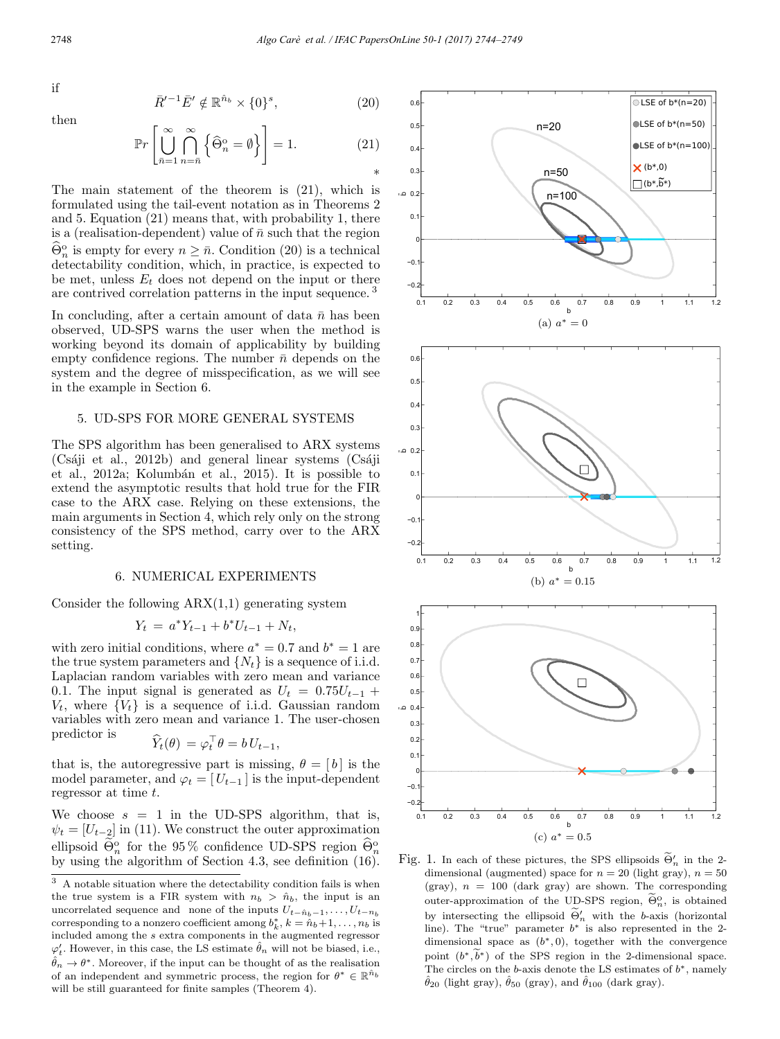$$
\quad \text{if} \quad
$$

then

$$
\bar{R}'^{-1}\bar{E}' \notin \mathbb{R}^{\hat{n}_b} \times \{0\}^s, \tag{20}
$$

$$
\mathbb{P}r\left[\bigcup_{\bar{n}=1}^{\infty}\bigcap_{n=\bar{n}}^{\infty}\left\{\widehat{\Theta}_{n}^{\mathrm{o}}=\emptyset\right\}\right]=1.
$$
 (21)

The main statement of the theorem is (21), which is formulated using the tail-event notation as in Theorems 2 and 5. Equation (21) means that, with probability 1, there is a (realisation-dependent) value of  $\bar{n}$  such that the region  $\widehat{\Theta}_n^{\circ}$  is empty for every  $n \geq \overline{n}$ . Condition (20) is a technical detectability condition, which, in practice, is expected to be met, unless  $E_t$  does not depend on the input or there are contrived correlation patterns in the input sequence. <sup>3</sup>

In concluding, after a certain amount of data  $\bar{n}$  has been observed, UD-SPS warns the user when the method is working beyond its domain of applicability by building empty confidence regions. The number  $\bar{n}$  depends on the system and the degree of misspecification, as we will see in the example in Section 6.

### 5. UD-SPS FOR MORE GENERAL SYSTEMS

The SPS algorithm has been generalised to ARX systems  $(Csáji et al., 2012b)$  and general linear systems  $(Csáji)$ et al., 2012a; Kolumbán et al., 2015). It is possible to extend the asymptotic results that hold true for the FIR case to the ARX case. Relying on these extensions, the main arguments in Section 4, which rely only on the strong consistency of the SPS method, carry over to the ARX setting.

#### 6. NUMERICAL EXPERIMENTS

Consider the following  $ARX(1,1)$  generating system

$$
Y_t = a^* Y_{t-1} + b^* U_{t-1} + N_t,
$$

with zero initial conditions, where  $a^* = 0.7$  and  $b^* = 1$  are the true system parameters and  $\{N_t\}$  is a sequence of i.i.d. Laplacian random variables with zero mean and variance 0.1. The input signal is generated as  $U_t = 0.75U_{t-1} +$  $V_t$ , where  $\{V_t\}$  is a sequence of i.i.d. Gaussian random variables with zero mean and variance 1. The user-chosen predictor is

$$
Y_t(\theta) = \varphi_t^{\perp} \theta = b U_{t-1},
$$

that is, the autoregressive part is missing,  $\theta = [b]$  is the model parameter, and  $\varphi_t = [U_{t-1}]$  is the input-dependent regressor at time t.

We choose  $s = 1$  in the UD-SPS algorithm, that is,  $\psi_t = [U_{t-2}]$  in (11). We construct the outer approximation ellipsoid  $\Theta_n^{\circ}$  for the 95 % confidence UD-SPS region  $\widehat{\Theta}_n^{\circ}$ by using the algorithm of Section 4.3, see definition (16).

 $^3\,$  A notable situation where the detectability condition fails is when the true system is a FIR system with  $n_b > \hat{n}_b$ , the input is an uncorrelated sequence and none of the inputs  $U_{t-n_b-1},\ldots,U_{t-n_b}$ corresponding to a nonzero coefficient among  $b_k^*, k = \hat{n}_b + 1, \ldots, n_b$  is included among the s extra components in the augmented regressor  $\varphi'_t$ . However, in this case, the LS estimate  $\hat{\theta}_n$  will not be biased, i.e.,  $\hat{\theta}_n \to \theta^*$ . Moreover, if the input can be thought of as the realisation of an independent and symmetric process, the region for  $\theta^* \in \mathbb{R}^{\hat{n}_b}$ will be still guaranteed for finite samples (Theorem 4).



Fig. 1. In each of these pictures, the SPS ellipsoids  $\Theta'_n$  in the 2-<br>dimensional (compactable procedure 20 (light map) in 50 dimensional (augmented) space for  $n = 20$  (light gray),  $n = 50$ (gray),  $n = 100$  (dark gray) are shown. The corresponding outer-approximation of the UD-SPS region,  $\widetilde{\Theta}_n^0$ , is obtained by intersecting the ellipsoid  $\Theta'_n$  with the b-axis (horizontal<br>line). The "turn" necessation  $k^*$  is also represented in the 3 line). The "true" parameter b∗ is also represented in the 2 dimensional space as  $(b^*, 0)$ , together with the convergence point  $(b^*,\widetilde{b}^*)$  of the SPS region in the 2-dimensional space. The circles on the b-axis denote the LS estimates of  $b^*$ , namely  $\hat{\theta}_{20}$  (light gray),  $\hat{\theta}_{50}$  (gray), and  $\hat{\theta}_{100}$  (dark gray).